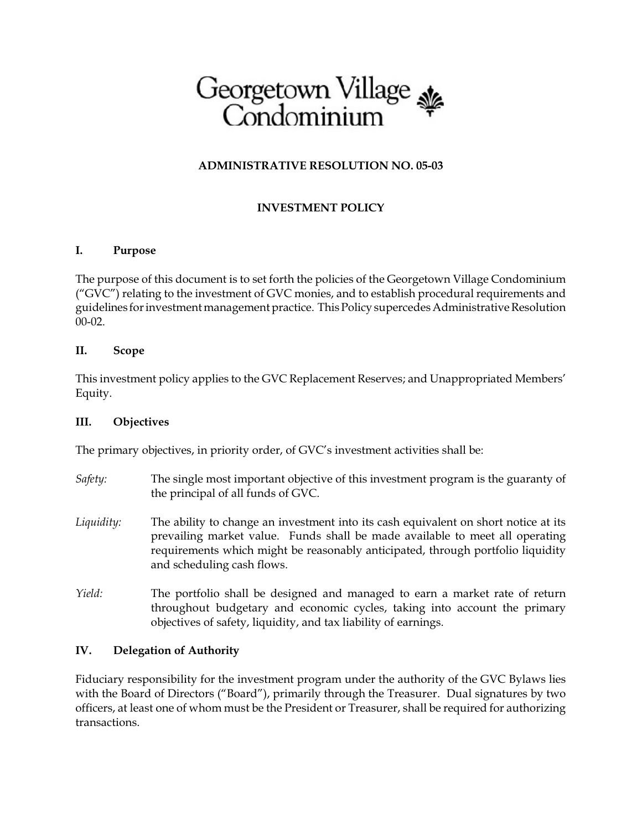

## **ADMINISTRATIVE RESOLUTION NO. 05-03**

# **INVESTMENT POLICY**

### **I. Purpose**

The purpose of this document is to set forth the policies of the Georgetown Village Condominium ("GVC") relating to the investment of GVC monies, and to establish procedural requirements and guidelines for investment management practice. This Policy supercedes Administrative Resolution 00-02.

#### **II. Scope**

This investment policy applies to the GVC Replacement Reserves; and Unappropriated Members' Equity.

#### **III. Objectives**

The primary objectives, in priority order, of GVC's investment activities shall be:

- *Safety:* The single most important objective of this investment program is the guaranty of the principal of all funds of GVC.
- *Liquidity:* The ability to change an investment into its cash equivalent on short notice at its prevailing market value. Funds shall be made available to meet all operating requirements which might be reasonably anticipated, through portfolio liquidity and scheduling cash flows.
- *Yield:* The portfolio shall be designed and managed to earn a market rate of return throughout budgetary and economic cycles, taking into account the primary objectives of safety, liquidity, and tax liability of earnings.

### **IV. Delegation of Authority**

Fiduciary responsibility for the investment program under the authority of the GVC Bylaws lies with the Board of Directors ("Board"), primarily through the Treasurer. Dual signatures by two officers, at least one of whom must be the President or Treasurer, shall be required for authorizing transactions.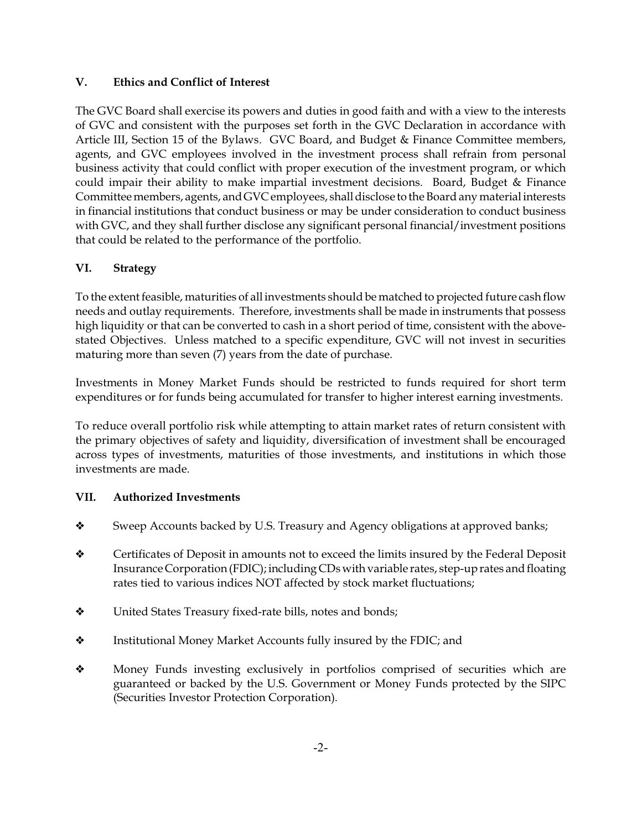### **V. Ethics and Conflict of Interest**

The GVC Board shall exercise its powers and duties in good faith and with a view to the interests of GVC and consistent with the purposes set forth in the GVC Declaration in accordance with Article III, Section 15 of the Bylaws. GVC Board, and Budget & Finance Committee members, agents, and GVC employees involved in the investment process shall refrain from personal business activity that could conflict with proper execution of the investment program, or which could impair their ability to make impartial investment decisions. Board, Budget & Finance Committee members, agents, and GVC employees, shall disclose to the Board any material interests in financial institutions that conduct business or may be under consideration to conduct business with GVC, and they shall further disclose any significant personal financial/investment positions that could be related to the performance of the portfolio.

# **VI. Strategy**

To the extent feasible, maturities of allinvestments should be matched to projected future cash flow needs and outlay requirements. Therefore, investments shall be made in instruments that possess high liquidity or that can be converted to cash in a short period of time, consistent with the abovestated Objectives. Unless matched to a specific expenditure, GVC will not invest in securities maturing more than seven (7) years from the date of purchase.

Investments in Money Market Funds should be restricted to funds required for short term expenditures or for funds being accumulated for transfer to higher interest earning investments.

To reduce overall portfolio risk while attempting to attain market rates of return consistent with the primary objectives of safety and liquidity, diversification of investment shall be encouraged across types of investments, maturities of those investments, and institutions in which those investments are made.

### **VII. Authorized Investments**

- Sweep Accounts backed by U.S. Treasury and Agency obligations at approved banks;
- ◆ Certificates of Deposit in amounts not to exceed the limits insured by the Federal Deposit Insurance Corporation (FDIC); including CDs with variable rates, step-up rates and floating rates tied to various indices NOT affected by stock market fluctuations;
- $\triangleleft$  United States Treasury fixed-rate bills, notes and bonds;
- $\triangleleft$  Institutional Money Market Accounts fully insured by the FDIC; and
- Money Funds investing exclusively in portfolios comprised of securities which are guaranteed or backed by the U.S. Government or Money Funds protected by the SIPC (Securities Investor Protection Corporation).